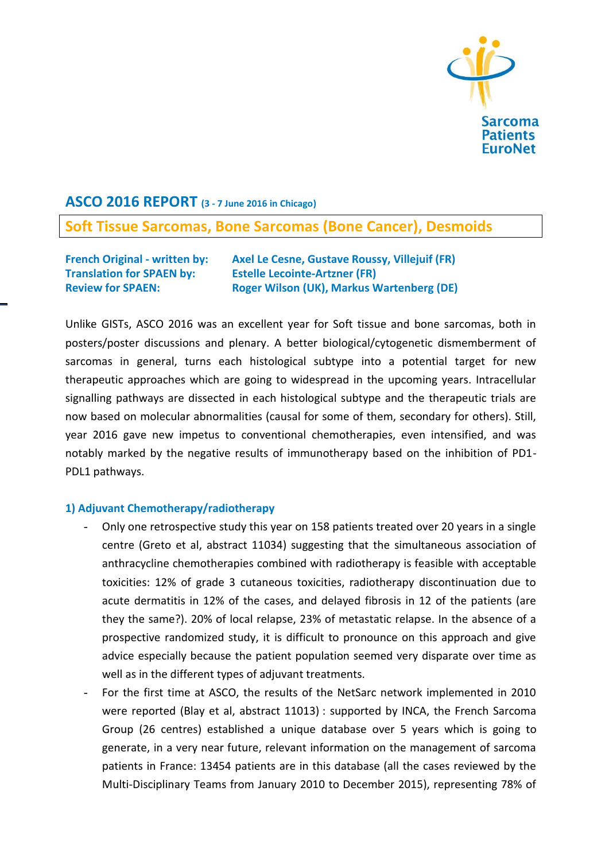

## **ASCO 2016 REPORT (3 - 7 June 2016 in Chicago)**

# **Soft Tissue Sarcomas, Bone Sarcomas (Bone Cancer), Desmoids**

**French Original - written by: Axel Le Cesne, Gustave Roussy, Villejuif (FR) Translation for SPAEN by: Estelle Lecointe-Artzner (FR) Review for SPAEN: Roger Wilson (UK), Markus Wartenberg (DE)**

Unlike GISTs, ASCO 2016 was an excellent year for Soft tissue and bone sarcomas, both in posters/poster discussions and plenary. A better biological/cytogenetic dismemberment of sarcomas in general, turns each histological subtype into a potential target for new therapeutic approaches which are going to widespread in the upcoming years. Intracellular signalling pathways are dissected in each histological subtype and the therapeutic trials are now based on molecular abnormalities (causal for some of them, secondary for others). Still, year 2016 gave new impetus to conventional chemotherapies, even intensified, and was notably marked by the negative results of immunotherapy based on the inhibition of PD1- PDL1 pathways.

## **1) Adjuvant Chemotherapy/radiotherapy**

- Only one retrospective study this year on 158 patients treated over 20 years in a single centre (Greto et al, abstract 11034) suggesting that the simultaneous association of anthracycline chemotherapies combined with radiotherapy is feasible with acceptable toxicities: 12% of grade 3 cutaneous toxicities, radiotherapy discontinuation due to acute dermatitis in 12% of the cases, and delayed fibrosis in 12 of the patients (are they the same?). 20% of local relapse, 23% of metastatic relapse. In the absence of a prospective randomized study, it is difficult to pronounce on this approach and give advice especially because the patient population seemed very disparate over time as well as in the different types of adjuvant treatments.
- For the first time at ASCO, the results of the NetSarc network implemented in 2010 were reported (Blay et al, abstract 11013) : supported by INCA, the French Sarcoma Group (26 centres) established a unique database over 5 years which is going to generate, in a very near future, relevant information on the management of sarcoma patients in France: 13454 patients are in this database (all the cases reviewed by the Multi-Disciplinary Teams from January 2010 to December 2015), representing 78% of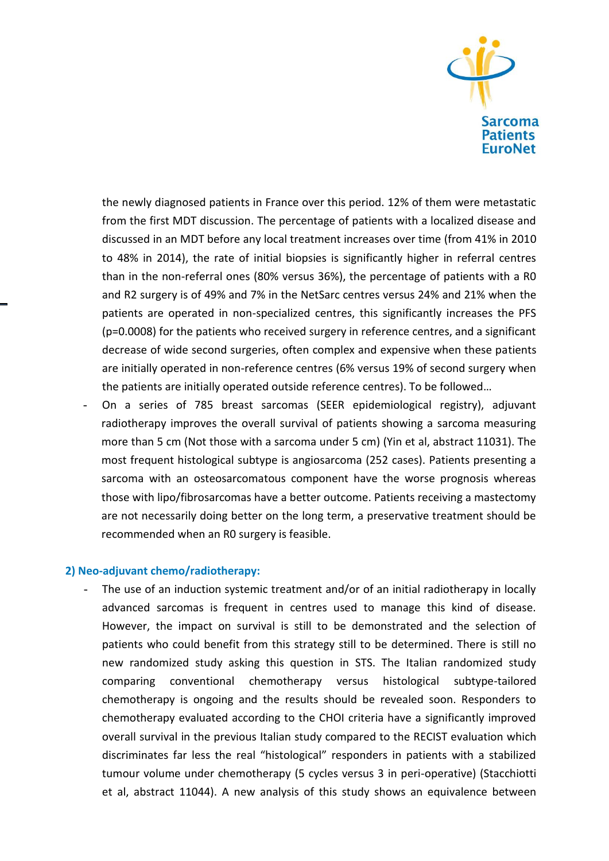

the newly diagnosed patients in France over this period. 12% of them were metastatic from the first MDT discussion. The percentage of patients with a localized disease and discussed in an MDT before any local treatment increases over time (from 41% in 2010 to 48% in 2014), the rate of initial biopsies is significantly higher in referral centres than in the non-referral ones (80% versus 36%), the percentage of patients with a R0 and R2 surgery is of 49% and 7% in the NetSarc centres versus 24% and 21% when the patients are operated in non-specialized centres, this significantly increases the PFS (p=0.0008) for the patients who received surgery in reference centres, and a significant decrease of wide second surgeries, often complex and expensive when these patients are initially operated in non-reference centres (6% versus 19% of second surgery when the patients are initially operated outside reference centres). To be followed…

- On a series of 785 breast sarcomas (SEER epidemiological registry), adjuvant radiotherapy improves the overall survival of patients showing a sarcoma measuring more than 5 cm (Not those with a sarcoma under 5 cm) (Yin et al, abstract 11031). The most frequent histological subtype is angiosarcoma (252 cases). Patients presenting a sarcoma with an osteosarcomatous component have the worse prognosis whereas those with lipo/fibrosarcomas have a better outcome. Patients receiving a mastectomy are not necessarily doing better on the long term, a preservative treatment should be recommended when an R0 surgery is feasible.

#### **2) Neo-adjuvant chemo/radiotherapy:**

The use of an induction systemic treatment and/or of an initial radiotherapy in locally advanced sarcomas is frequent in centres used to manage this kind of disease. However, the impact on survival is still to be demonstrated and the selection of patients who could benefit from this strategy still to be determined. There is still no new randomized study asking this question in STS. The Italian randomized study comparing conventional chemotherapy versus histological subtype-tailored chemotherapy is ongoing and the results should be revealed soon. Responders to chemotherapy evaluated according to the CHOI criteria have a significantly improved overall survival in the previous Italian study compared to the RECIST evaluation which discriminates far less the real "histological" responders in patients with a stabilized tumour volume under chemotherapy (5 cycles versus 3 in peri-operative) (Stacchiotti et al, abstract 11044). A new analysis of this study shows an equivalence between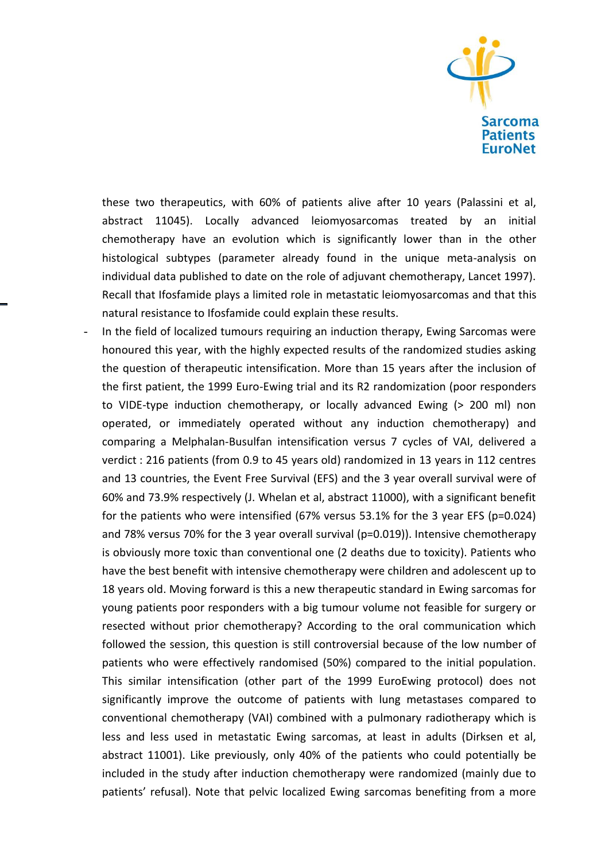

these two therapeutics, with 60% of patients alive after 10 years (Palassini et al, abstract 11045). Locally advanced leiomyosarcomas treated by an initial chemotherapy have an evolution which is significantly lower than in the other histological subtypes (parameter already found in the unique meta-analysis on individual data published to date on the role of adjuvant chemotherapy, Lancet 1997). Recall that Ifosfamide plays a limited role in metastatic leiomyosarcomas and that this natural resistance to Ifosfamide could explain these results.

In the field of localized tumours requiring an induction therapy, Ewing Sarcomas were honoured this year, with the highly expected results of the randomized studies asking the question of therapeutic intensification. More than 15 years after the inclusion of the first patient, the 1999 Euro-Ewing trial and its R2 randomization (poor responders to VIDE-type induction chemotherapy, or locally advanced Ewing (> 200 ml) non operated, or immediately operated without any induction chemotherapy) and comparing a Melphalan-Busulfan intensification versus 7 cycles of VAI, delivered a verdict : 216 patients (from 0.9 to 45 years old) randomized in 13 years in 112 centres and 13 countries, the Event Free Survival (EFS) and the 3 year overall survival were of 60% and 73.9% respectively (J. Whelan et al, abstract 11000), with a significant benefit for the patients who were intensified (67% versus 53.1% for the 3 year EFS (p=0.024) and 78% versus 70% for the 3 year overall survival (p=0.019)). Intensive chemotherapy is obviously more toxic than conventional one (2 deaths due to toxicity). Patients who have the best benefit with intensive chemotherapy were children and adolescent up to 18 years old. Moving forward is this a new therapeutic standard in Ewing sarcomas for young patients poor responders with a big tumour volume not feasible for surgery or resected without prior chemotherapy? According to the oral communication which followed the session, this question is still controversial because of the low number of patients who were effectively randomised (50%) compared to the initial population. This similar intensification (other part of the 1999 EuroEwing protocol) does not significantly improve the outcome of patients with lung metastases compared to conventional chemotherapy (VAI) combined with a pulmonary radiotherapy which is less and less used in metastatic Ewing sarcomas, at least in adults (Dirksen et al, abstract 11001). Like previously, only 40% of the patients who could potentially be included in the study after induction chemotherapy were randomized (mainly due to patients' refusal). Note that pelvic localized Ewing sarcomas benefiting from a more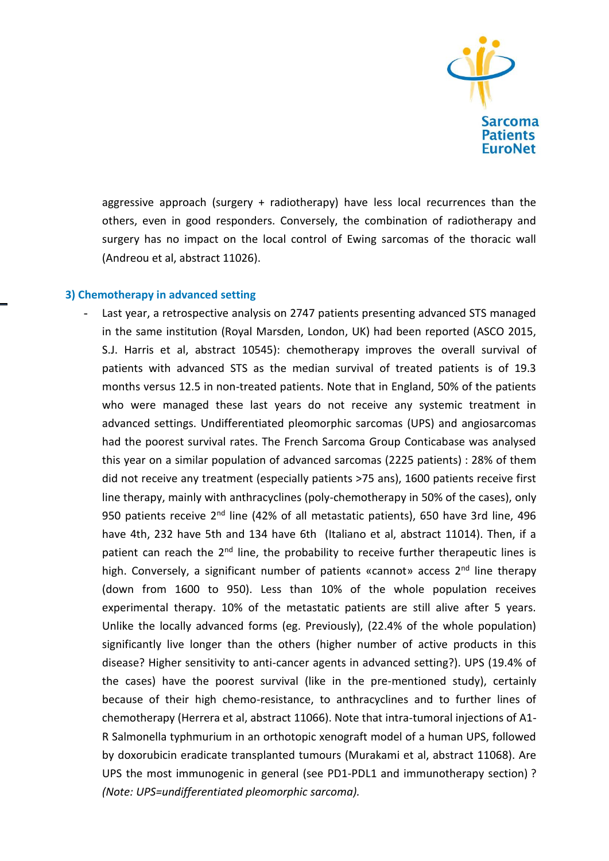

aggressive approach (surgery + radiotherapy) have less local recurrences than the others, even in good responders. Conversely, the combination of radiotherapy and surgery has no impact on the local control of Ewing sarcomas of the thoracic wall (Andreou et al, abstract 11026).

#### **3) Chemotherapy in advanced setting**

Last year, a retrospective analysis on 2747 patients presenting advanced STS managed in the same institution (Royal Marsden, London, UK) had been reported (ASCO 2015, S.J. Harris et al, abstract 10545): chemotherapy improves the overall survival of patients with advanced STS as the median survival of treated patients is of 19.3 months versus 12.5 in non-treated patients. Note that in England, 50% of the patients who were managed these last years do not receive any systemic treatment in advanced settings. Undifferentiated pleomorphic sarcomas (UPS) and angiosarcomas had the poorest survival rates. The French Sarcoma Group Conticabase was analysed this year on a similar population of advanced sarcomas (2225 patients) : 28% of them did not receive any treatment (especially patients >75 ans), 1600 patients receive first line therapy, mainly with anthracyclines (poly-chemotherapy in 50% of the cases), only 950 patients receive 2<sup>nd</sup> line (42% of all metastatic patients), 650 have 3rd line, 496 have 4th, 232 have 5th and 134 have 6th (Italiano et al, abstract 11014). Then, if a patient can reach the 2<sup>nd</sup> line, the probability to receive further therapeutic lines is high. Conversely, a significant number of patients «cannot» access  $2<sup>nd</sup>$  line therapy (down from 1600 to 950). Less than 10% of the whole population receives experimental therapy. 10% of the metastatic patients are still alive after 5 years. Unlike the locally advanced forms (eg. Previously), (22.4% of the whole population) significantly live longer than the others (higher number of active products in this disease? Higher sensitivity to anti-cancer agents in advanced setting?). UPS (19.4% of the cases) have the poorest survival (like in the pre-mentioned study), certainly because of their high chemo-resistance, to anthracyclines and to further lines of chemotherapy (Herrera et al, abstract 11066). Note that intra-tumoral injections of A1- R Salmonella typhmurium in an orthotopic xenograft model of a human UPS, followed by doxorubicin eradicate transplanted tumours (Murakami et al, abstract 11068). Are UPS the most immunogenic in general (see PD1-PDL1 and immunotherapy section) ? *(Note: UPS=undifferentiated pleomorphic sarcoma).*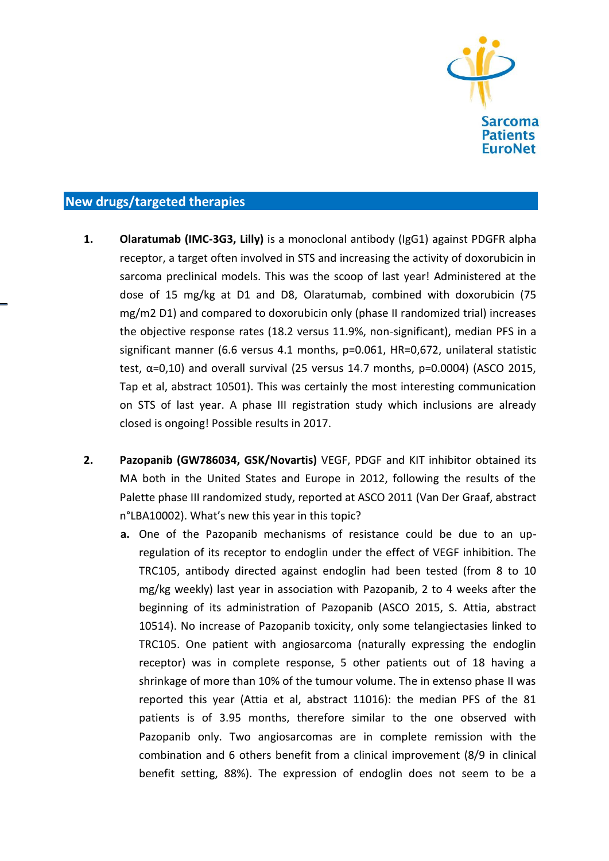

## **New drugs/targeted therapies**

- **1. Olaratumab (IMC-3G3, Lilly)** is a monoclonal antibody (IgG1) against PDGFR alpha receptor, a target often involved in STS and increasing the activity of doxorubicin in sarcoma preclinical models. This was the scoop of last year! Administered at the dose of 15 mg/kg at D1 and D8, Olaratumab, combined with doxorubicin (75 mg/m2 D1) and compared to doxorubicin only (phase II randomized trial) increases the objective response rates (18.2 versus 11.9%, non-significant), median PFS in a significant manner (6.6 versus 4.1 months, p=0.061, HR=0,672, unilateral statistic test,  $α=0,10$ ) and overall survival (25 versus 14.7 months,  $p=0.0004$ ) (ASCO 2015, Tap et al, abstract 10501). This was certainly the most interesting communication on STS of last year. A phase III registration study which inclusions are already closed is ongoing! Possible results in 2017.
- **2. Pazopanib (GW786034, GSK/Novartis)** VEGF, PDGF and KIT inhibitor obtained its MA both in the United States and Europe in 2012, following the results of the Palette phase III randomized study, reported at ASCO 2011 (Van Der Graaf, abstract n°LBA10002). What's new this year in this topic?
	- **a.** One of the Pazopanib mechanisms of resistance could be due to an upregulation of its receptor to endoglin under the effect of VEGF inhibition. The TRC105, antibody directed against endoglin had been tested (from 8 to 10 mg/kg weekly) last year in association with Pazopanib, 2 to 4 weeks after the beginning of its administration of Pazopanib (ASCO 2015, S. Attia, abstract 10514). No increase of Pazopanib toxicity, only some telangiectasies linked to TRC105. One patient with angiosarcoma (naturally expressing the endoglin receptor) was in complete response, 5 other patients out of 18 having a shrinkage of more than 10% of the tumour volume. The in extenso phase II was reported this year (Attia et al, abstract 11016): the median PFS of the 81 patients is of 3.95 months, therefore similar to the one observed with Pazopanib only. Two angiosarcomas are in complete remission with the combination and 6 others benefit from a clinical improvement (8/9 in clinical benefit setting, 88%). The expression of endoglin does not seem to be a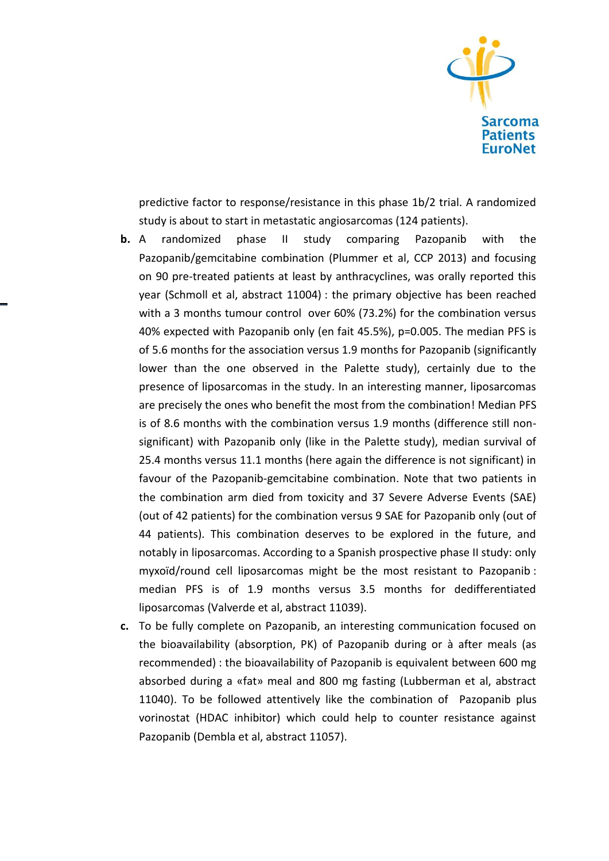

predictive factor to response/resistance in this phase 1b/2 trial. A randomized study is about to start in metastatic angiosarcomas (124 patients).

- **b.** A randomized phase II study comparing Pazopanib with the Pazopanib/gemcitabine combination (Plummer et al, CCP 2013) and focusing on 90 pre-treated patients at least by anthracyclines, was orally reported this year (Schmoll et al, abstract 11004) : the primary objective has been reached with a 3 months tumour control over 60% (73.2%) for the combination versus 40% expected with Pazopanib only (en fait 45.5%), p=0.005. The median PFS is of 5.6 months for the association versus 1.9 months for Pazopanib (significantly lower than the one observed in the Palette study), certainly due to the presence of liposarcomas in the study. In an interesting manner, liposarcomas are precisely the ones who benefit the most from the combination! Median PFS is of 8.6 months with the combination versus 1.9 months (difference still nonsignificant) with Pazopanib only (like in the Palette study), median survival of 25.4 months versus 11.1 months (here again the difference is not significant) in favour of the Pazopanib-gemcitabine combination. Note that two patients in the combination arm died from toxicity and 37 Severe Adverse Events (SAE) (out of 42 patients) for the combination versus 9 SAE for Pazopanib only (out of 44 patients). This combination deserves to be explored in the future, and notably in liposarcomas. According to a Spanish prospective phase II study: only myxoïd/round cell liposarcomas might be the most resistant to Pazopanib : median PFS is of 1.9 months versus 3.5 months for dedifferentiated liposarcomas (Valverde et al, abstract 11039).
- **c.** To be fully complete on Pazopanib, an interesting communication focused on the bioavailability (absorption, PK) of Pazopanib during or à after meals (as recommended) : the bioavailability of Pazopanib is equivalent between 600 mg absorbed during a «fat» meal and 800 mg fasting (Lubberman et al, abstract 11040). To be followed attentively like the combination of Pazopanib plus vorinostat (HDAC inhibitor) which could help to counter resistance against Pazopanib (Dembla et al, abstract 11057).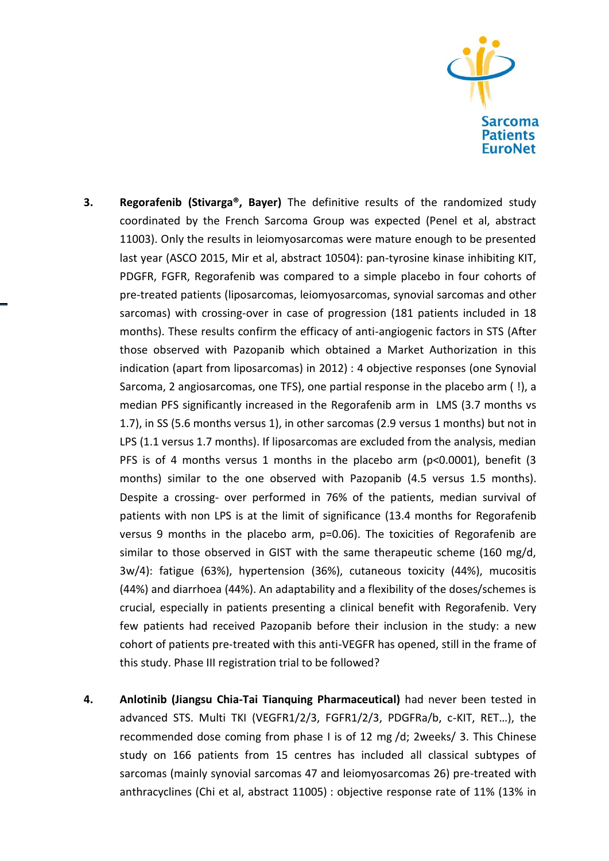

- **3. Regorafenib (Stivarga®, Bayer)** The definitive results of the randomized study coordinated by the French Sarcoma Group was expected (Penel et al, abstract 11003). Only the results in leiomyosarcomas were mature enough to be presented last year (ASCO 2015, Mir et al, abstract 10504): pan-tyrosine kinase inhibiting KIT, PDGFR, FGFR, Regorafenib was compared to a simple placebo in four cohorts of pre-treated patients (liposarcomas, leiomyosarcomas, synovial sarcomas and other sarcomas) with crossing-over in case of progression (181 patients included in 18 months). These results confirm the efficacy of anti-angiogenic factors in STS (After those observed with Pazopanib which obtained a Market Authorization in this indication (apart from liposarcomas) in 2012) : 4 objective responses (one Synovial Sarcoma, 2 angiosarcomas, one TFS), one partial response in the placebo arm ( !), a median PFS significantly increased in the Regorafenib arm in LMS (3.7 months vs 1.7), in SS (5.6 months versus 1), in other sarcomas (2.9 versus 1 months) but not in LPS (1.1 versus 1.7 months). If liposarcomas are excluded from the analysis, median PFS is of 4 months versus 1 months in the placebo arm (p<0.0001), benefit (3 months) similar to the one observed with Pazopanib (4.5 versus 1.5 months). Despite a crossing- over performed in 76% of the patients, median survival of patients with non LPS is at the limit of significance (13.4 months for Regorafenib versus 9 months in the placebo arm, p=0.06). The toxicities of Regorafenib are similar to those observed in GIST with the same therapeutic scheme (160 mg/d, 3w/4): fatigue (63%), hypertension (36%), cutaneous toxicity (44%), mucositis (44%) and diarrhoea (44%). An adaptability and a flexibility of the doses/schemes is crucial, especially in patients presenting a clinical benefit with Regorafenib. Very few patients had received Pazopanib before their inclusion in the study: a new cohort of patients pre-treated with this anti-VEGFR has opened, still in the frame of this study. Phase III registration trial to be followed?
- **4. Anlotinib (Jiangsu Chia-Tai Tianquing Pharmaceutical)** had never been tested in advanced STS. Multi TKI (VEGFR1/2/3, FGFR1/2/3, PDGFRa/b, c-KIT, RET…), the recommended dose coming from phase I is of 12 mg /d; 2weeks/ 3. This Chinese study on 166 patients from 15 centres has included all classical subtypes of sarcomas (mainly synovial sarcomas 47 and leiomyosarcomas 26) pre-treated with anthracyclines (Chi et al, abstract 11005) : objective response rate of 11% (13% in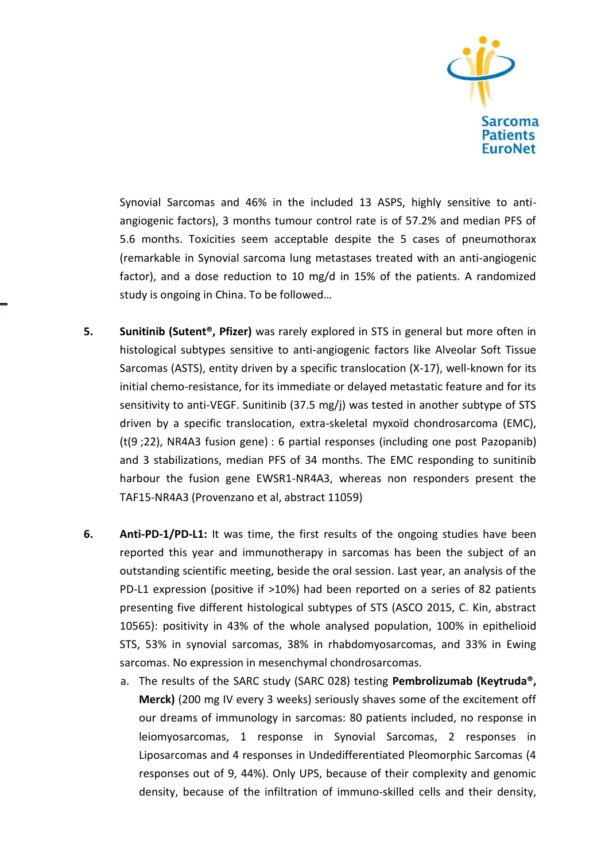

Synovial Sarcomas and 46% in the included 13 ASPS, highly sensitive to antiangiogenic factors), 3 months tumour control rate is of 57.2% and median PFS of 5.6 months. Toxicities seem acceptable despite the 5 cases of pneumothorax (remarkable in Synovial sarcoma lung metastases treated with an anti-angiogenic factor), and a dose reduction to 10 mg/d in 15% of the patients. A randomized study is ongoing in China. To be followed…

- **5. Sunitinib (Sutent®, Pfizer)** was rarely explored in STS in general but more often in histological subtypes sensitive to anti-angiogenic factors like Alveolar Soft Tissue Sarcomas (ASTS), entity driven by a specific translocation (X-17), well-known for its initial chemo-resistance, for its immediate or delayed metastatic feature and for its sensitivity to anti-VEGF. Sunitinib (37.5 mg/j) was tested in another subtype of STS driven by a specific translocation, extra-skeletal myxoïd chondrosarcoma (EMC), (t(9 ;22), NR4A3 fusion gene) : 6 partial responses (including one post Pazopanib) and 3 stabilizations, median PFS of 34 months. The EMC responding to sunitinib harbour the fusion gene EWSR1-NR4A3, whereas non responders present the TAF15-NR4A3 (Provenzano et al, abstract 11059)
- **6. Anti-PD-1/PD-L1:** It was time, the first results of the ongoing studies have been reported this year and immunotherapy in sarcomas has been the subject of an outstanding scientific meeting, beside the oral session. Last year, an analysis of the PD-L1 expression (positive if >10%) had been reported on a series of 82 patients presenting five different histological subtypes of STS (ASCO 2015, C. Kin, abstract 10565): positivity in 43% of the whole analysed population, 100% in epithelioid STS, 53% in synovial sarcomas, 38% in rhabdomyosarcomas, and 33% in Ewing sarcomas. No expression in mesenchymal chondrosarcomas.
	- a. The results of the SARC study (SARC 028) testing **Pembrolizumab (Keytruda®, Merck)** (200 mg IV every 3 weeks) seriously shaves some of the excitement off our dreams of immunology in sarcomas: 80 patients included, no response in leiomyosarcomas, 1 response in Synovial Sarcomas, 2 responses in Liposarcomas and 4 responses in Undedifferentiated Pleomorphic Sarcomas (4 responses out of 9, 44%). Only UPS, because of their complexity and genomic density, because of the infiltration of immuno-skilled cells and their density,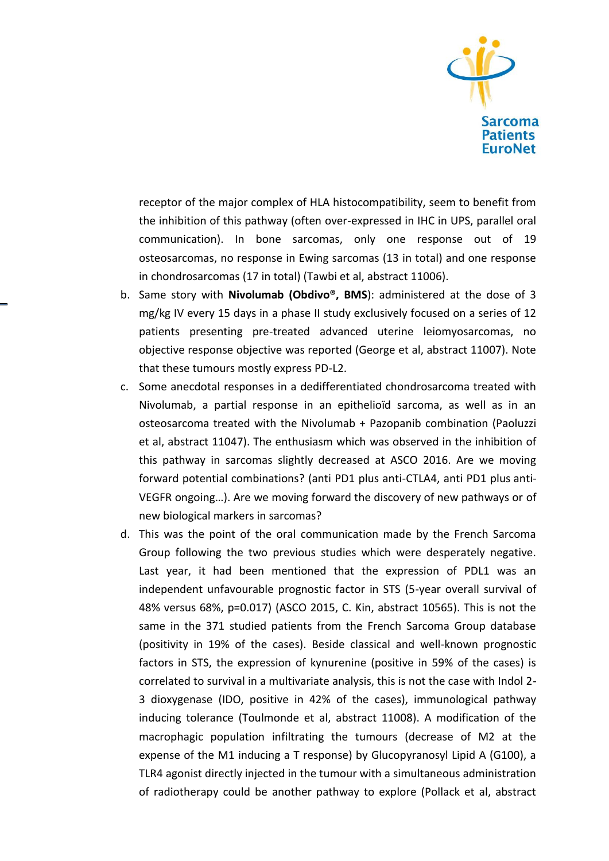

receptor of the major complex of HLA histocompatibility, seem to benefit from the inhibition of this pathway (often over-expressed in IHC in UPS, parallel oral communication). In bone sarcomas, only one response out of 19 osteosarcomas, no response in Ewing sarcomas (13 in total) and one response in chondrosarcomas (17 in total) (Tawbi et al, abstract 11006).

- b. Same story with **Nivolumab (Obdivo®, BMS**): administered at the dose of 3 mg/kg IV every 15 days in a phase II study exclusively focused on a series of 12 patients presenting pre-treated advanced uterine leiomyosarcomas, no objective response objective was reported (George et al, abstract 11007). Note that these tumours mostly express PD-L2.
- c. Some anecdotal responses in a dedifferentiated chondrosarcoma treated with Nivolumab, a partial response in an epithelioïd sarcoma, as well as in an osteosarcoma treated with the Nivolumab + Pazopanib combination (Paoluzzi et al, abstract 11047). The enthusiasm which was observed in the inhibition of this pathway in sarcomas slightly decreased at ASCO 2016. Are we moving forward potential combinations? (anti PD1 plus anti-CTLA4, anti PD1 plus anti-VEGFR ongoing…). Are we moving forward the discovery of new pathways or of new biological markers in sarcomas?
- d. This was the point of the oral communication made by the French Sarcoma Group following the two previous studies which were desperately negative. Last year, it had been mentioned that the expression of PDL1 was an independent unfavourable prognostic factor in STS (5-year overall survival of 48% versus 68%, p=0.017) (ASCO 2015, C. Kin, abstract 10565). This is not the same in the 371 studied patients from the French Sarcoma Group database (positivity in 19% of the cases). Beside classical and well-known prognostic factors in STS, the expression of kynurenine (positive in 59% of the cases) is correlated to survival in a multivariate analysis, this is not the case with Indol 2- 3 dioxygenase (IDO, positive in 42% of the cases), immunological pathway inducing tolerance (Toulmonde et al, abstract 11008). A modification of the macrophagic population infiltrating the tumours (decrease of M2 at the expense of the M1 inducing a T response) by Glucopyranosyl Lipid A (G100), a TLR4 agonist directly injected in the tumour with a simultaneous administration of radiotherapy could be another pathway to explore (Pollack et al, abstract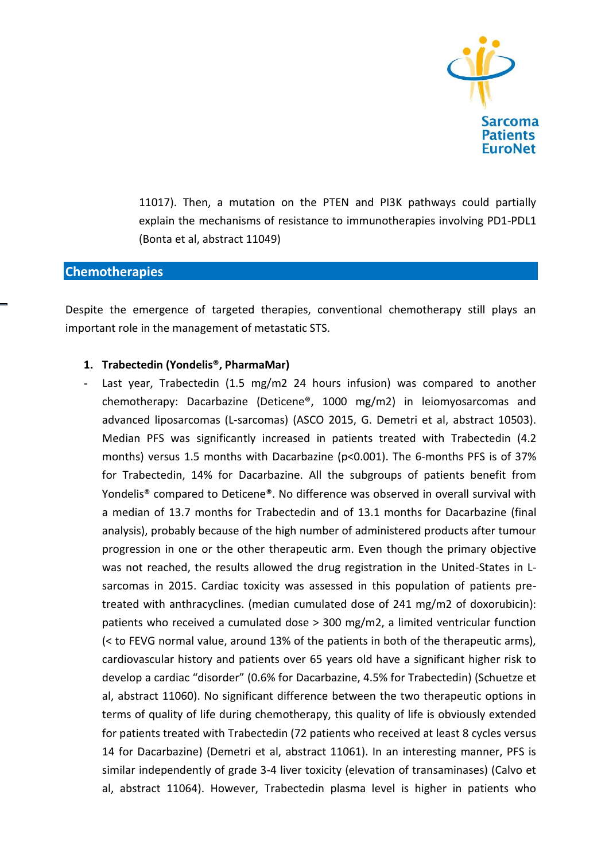

11017). Then, a mutation on the PTEN and PI3K pathways could partially explain the mechanisms of resistance to immunotherapies involving PD1-PDL1 (Bonta et al, abstract 11049)

## **Chemotherapies**

Despite the emergence of targeted therapies, conventional chemotherapy still plays an important role in the management of metastatic STS.

#### **1. Trabectedin (Yondelis®, PharmaMar)**

- Last year, Trabectedin (1.5 mg/m2 24 hours infusion) was compared to another chemotherapy: Dacarbazine (Deticene®, 1000 mg/m2) in leiomyosarcomas and advanced liposarcomas (L-sarcomas) (ASCO 2015, G. Demetri et al, abstract 10503). Median PFS was significantly increased in patients treated with Trabectedin (4.2 months) versus 1.5 months with Dacarbazine (p<0.001). The 6-months PFS is of 37% for Trabectedin, 14% for Dacarbazine. All the subgroups of patients benefit from Yondelis® compared to Deticene®. No difference was observed in overall survival with a median of 13.7 months for Trabectedin and of 13.1 months for Dacarbazine (final analysis), probably because of the high number of administered products after tumour progression in one or the other therapeutic arm. Even though the primary objective was not reached, the results allowed the drug registration in the United-States in Lsarcomas in 2015. Cardiac toxicity was assessed in this population of patients pretreated with anthracyclines. (median cumulated dose of 241 mg/m2 of doxorubicin): patients who received a cumulated dose > 300 mg/m2, a limited ventricular function (< to FEVG normal value, around 13% of the patients in both of the therapeutic arms), cardiovascular history and patients over 65 years old have a significant higher risk to develop a cardiac "disorder" (0.6% for Dacarbazine, 4.5% for Trabectedin) (Schuetze et al, abstract 11060). No significant difference between the two therapeutic options in terms of quality of life during chemotherapy, this quality of life is obviously extended for patients treated with Trabectedin (72 patients who received at least 8 cycles versus 14 for Dacarbazine) (Demetri et al, abstract 11061). In an interesting manner, PFS is similar independently of grade 3-4 liver toxicity (elevation of transaminases) (Calvo et al, abstract 11064). However, Trabectedin plasma level is higher in patients who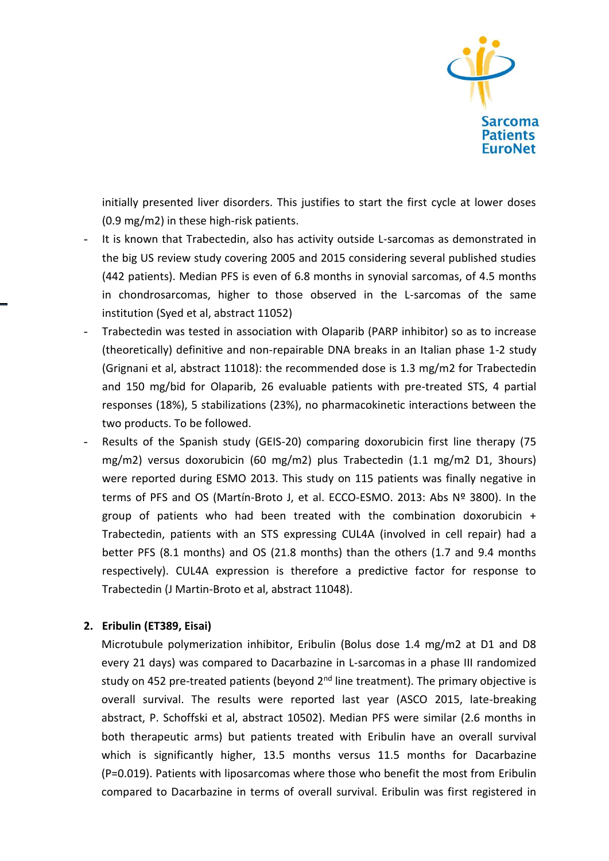

initially presented liver disorders. This justifies to start the first cycle at lower doses (0.9 mg/m2) in these high-risk patients.

- It is known that Trabectedin, also has activity outside L-sarcomas as demonstrated in the big US review study covering 2005 and 2015 considering several published studies (442 patients). Median PFS is even of 6.8 months in synovial sarcomas, of 4.5 months in chondrosarcomas, higher to those observed in the L-sarcomas of the same institution (Syed et al, abstract 11052)
- Trabectedin was tested in association with Olaparib (PARP inhibitor) so as to increase (theoretically) definitive and non-repairable DNA breaks in an Italian phase 1-2 study (Grignani et al, abstract 11018): the recommended dose is 1.3 mg/m2 for Trabectedin and 150 mg/bid for Olaparib, 26 evaluable patients with pre-treated STS, 4 partial responses (18%), 5 stabilizations (23%), no pharmacokinetic interactions between the two products. To be followed.
- Results of the Spanish study (GEIS-20) comparing doxorubicin first line therapy (75 mg/m2) versus doxorubicin (60 mg/m2) plus Trabectedin (1.1 mg/m2 D1, 3hours) were reported during ESMO 2013. This study on 115 patients was finally negative in terms of PFS and OS (Martín-Broto J, et al. ECCO-ESMO. 2013: Abs Nº 3800). In the group of patients who had been treated with the combination doxorubicin + Trabectedin, patients with an STS expressing CUL4A (involved in cell repair) had a better PFS (8.1 months) and OS (21.8 months) than the others (1.7 and 9.4 months respectively). CUL4A expression is therefore a predictive factor for response to Trabectedin (J Martin-Broto et al, abstract 11048).

## **2. Eribulin (ET389, Eisai)**

Microtubule polymerization inhibitor, Eribulin (Bolus dose 1.4 mg/m2 at D1 and D8 every 21 days) was compared to Dacarbazine in L-sarcomas in a phase III randomized study on 452 pre-treated patients (beyond  $2<sup>nd</sup>$  line treatment). The primary objective is overall survival. The results were reported last year (ASCO 2015, late-breaking abstract, P. Schoffski et al, abstract 10502). Median PFS were similar (2.6 months in both therapeutic arms) but patients treated with Eribulin have an overall survival which is significantly higher, 13.5 months versus 11.5 months for Dacarbazine (P=0.019). Patients with liposarcomas where those who benefit the most from Eribulin compared to Dacarbazine in terms of overall survival. Eribulin was first registered in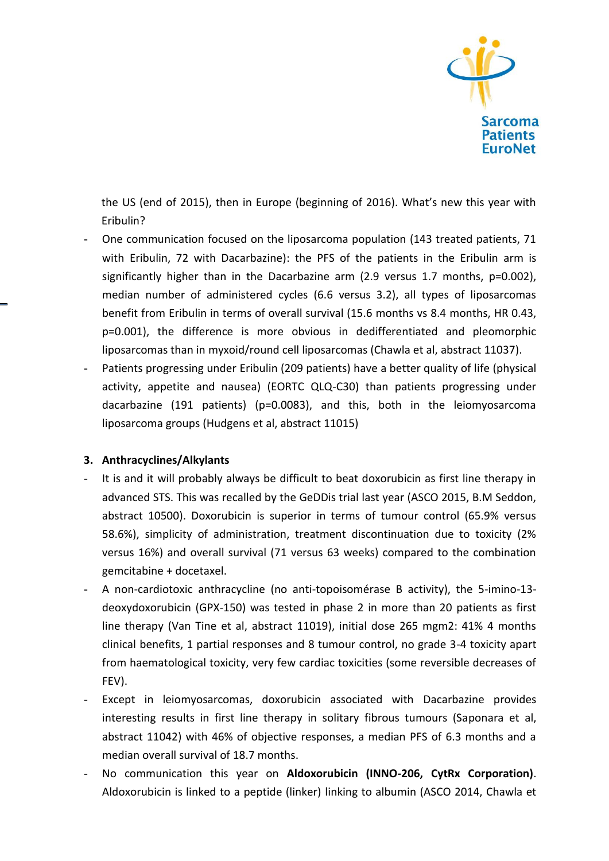

the US (end of 2015), then in Europe (beginning of 2016). What's new this year with Eribulin?

- One communication focused on the liposarcoma population (143 treated patients, 71 with Eribulin, 72 with Dacarbazine): the PFS of the patients in the Eribulin arm is significantly higher than in the Dacarbazine arm (2.9 versus 1.7 months, p=0.002), median number of administered cycles (6.6 versus 3.2), all types of liposarcomas benefit from Eribulin in terms of overall survival (15.6 months vs 8.4 months, HR 0.43, p=0.001), the difference is more obvious in dedifferentiated and pleomorphic liposarcomas than in myxoid/round cell liposarcomas (Chawla et al, abstract 11037).
- Patients progressing under Eribulin (209 patients) have a better quality of life (physical activity, appetite and nausea) (EORTC QLQ-C30) than patients progressing under dacarbazine (191 patients) (p=0.0083), and this, both in the leiomyosarcoma liposarcoma groups (Hudgens et al, abstract 11015)

## **3. Anthracyclines/Alkylants**

- It is and it will probably always be difficult to beat doxorubicin as first line therapy in advanced STS. This was recalled by the GeDDis trial last year (ASCO 2015, B.M Seddon, abstract 10500). Doxorubicin is superior in terms of tumour control (65.9% versus 58.6%), simplicity of administration, treatment discontinuation due to toxicity (2% versus 16%) and overall survival (71 versus 63 weeks) compared to the combination gemcitabine + docetaxel.
- A non-cardiotoxic anthracycline (no anti-topoisomérase B activity), the 5-imino-13 deoxydoxorubicin (GPX-150) was tested in phase 2 in more than 20 patients as first line therapy (Van Tine et al, abstract 11019), initial dose 265 mgm2: 41% 4 months clinical benefits, 1 partial responses and 8 tumour control, no grade 3-4 toxicity apart from haematological toxicity, very few cardiac toxicities (some reversible decreases of FEV).
- Except in leiomyosarcomas, doxorubicin associated with Dacarbazine provides interesting results in first line therapy in solitary fibrous tumours (Saponara et al, abstract 11042) with 46% of objective responses, a median PFS of 6.3 months and a median overall survival of 18.7 months.
- No communication this year on **Aldoxorubicin (INNO-206, CytRx Corporation)**. Aldoxorubicin is linked to a peptide (linker) linking to albumin (ASCO 2014, Chawla et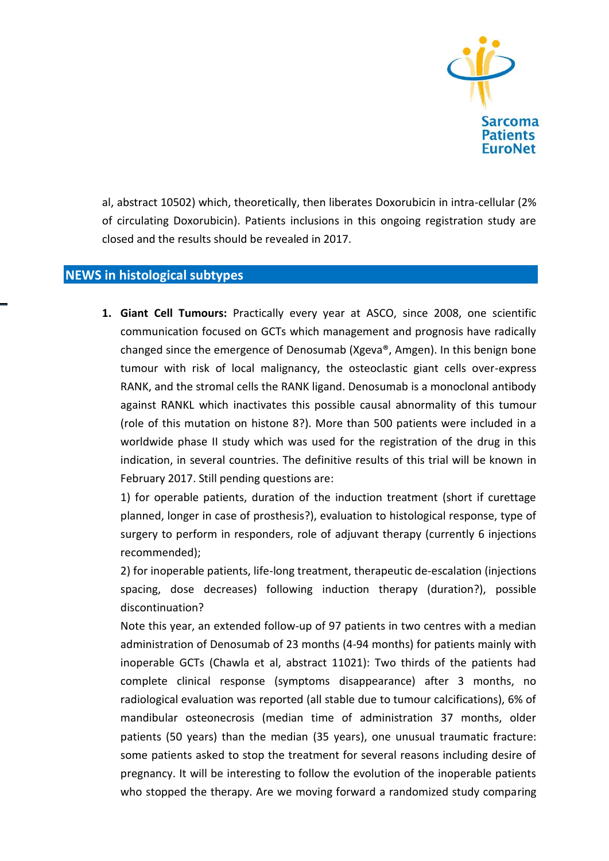

al, abstract 10502) which, theoretically, then liberates Doxorubicin in intra-cellular (2% of circulating Doxorubicin). Patients inclusions in this ongoing registration study are closed and the results should be revealed in 2017.

## **NEWS in histological subtypes**

**1. Giant Cell Tumours:** Practically every year at ASCO, since 2008, one scientific communication focused on GCTs which management and prognosis have radically changed since the emergence of Denosumab (Xgeva®, Amgen). In this benign bone tumour with risk of local malignancy, the osteoclastic giant cells over-express RANK, and the stromal cells the RANK ligand. Denosumab is a monoclonal antibody against RANKL which inactivates this possible causal abnormality of this tumour (role of this mutation on histone 8?). More than 500 patients were included in a worldwide phase II study which was used for the registration of the drug in this indication, in several countries. The definitive results of this trial will be known in February 2017. Still pending questions are:

1) for operable patients, duration of the induction treatment (short if curettage planned, longer in case of prosthesis?), evaluation to histological response, type of surgery to perform in responders, role of adjuvant therapy (currently 6 injections recommended);

2) for inoperable patients, life-long treatment, therapeutic de-escalation (injections spacing, dose decreases) following induction therapy (duration?), possible discontinuation?

Note this year, an extended follow-up of 97 patients in two centres with a median administration of Denosumab of 23 months (4-94 months) for patients mainly with inoperable GCTs (Chawla et al, abstract 11021): Two thirds of the patients had complete clinical response (symptoms disappearance) after 3 months, no radiological evaluation was reported (all stable due to tumour calcifications), 6% of mandibular osteonecrosis (median time of administration 37 months, older patients (50 years) than the median (35 years), one unusual traumatic fracture: some patients asked to stop the treatment for several reasons including desire of pregnancy. It will be interesting to follow the evolution of the inoperable patients who stopped the therapy. Are we moving forward a randomized study comparing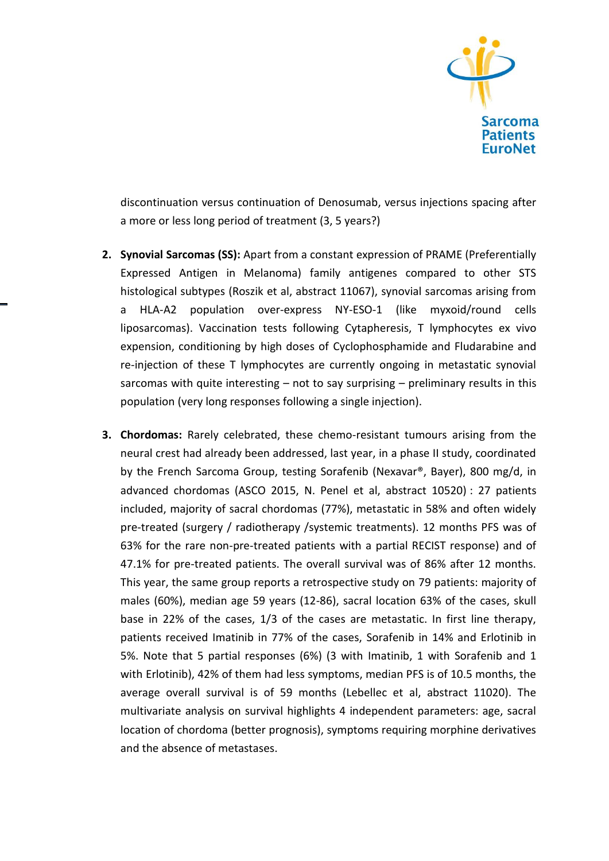

discontinuation versus continuation of Denosumab, versus injections spacing after a more or less long period of treatment (3, 5 years?)

- **2. Synovial Sarcomas (SS):** Apart from a constant expression of PRAME (Preferentially Expressed Antigen in Melanoma) family antigenes compared to other STS histological subtypes (Roszik et al, abstract 11067), synovial sarcomas arising from a HLA-A2 population over-express NY-ESO-1 (like myxoid/round cells liposarcomas). Vaccination tests following Cytapheresis, T lymphocytes ex vivo expension, conditioning by high doses of Cyclophosphamide and Fludarabine and re-injection of these T lymphocytes are currently ongoing in metastatic synovial sarcomas with quite interesting – not to say surprising – preliminary results in this population (very long responses following a single injection).
- **3. Chordomas:** Rarely celebrated, these chemo-resistant tumours arising from the neural crest had already been addressed, last year, in a phase II study, coordinated by the French Sarcoma Group, testing Sorafenib (Nexavar®, Bayer), 800 mg/d, in advanced chordomas (ASCO 2015, N. Penel et al, abstract 10520) : 27 patients included, majority of sacral chordomas (77%), metastatic in 58% and often widely pre-treated (surgery / radiotherapy /systemic treatments). 12 months PFS was of 63% for the rare non-pre-treated patients with a partial RECIST response) and of 47.1% for pre-treated patients. The overall survival was of 86% after 12 months. This year, the same group reports a retrospective study on 79 patients: majority of males (60%), median age 59 years (12-86), sacral location 63% of the cases, skull base in 22% of the cases, 1/3 of the cases are metastatic. In first line therapy, patients received Imatinib in 77% of the cases, Sorafenib in 14% and Erlotinib in 5%. Note that 5 partial responses (6%) (3 with Imatinib, 1 with Sorafenib and 1 with Erlotinib), 42% of them had less symptoms, median PFS is of 10.5 months, the average overall survival is of 59 months (Lebellec et al, abstract 11020). The multivariate analysis on survival highlights 4 independent parameters: age, sacral location of chordoma (better prognosis), symptoms requiring morphine derivatives and the absence of metastases.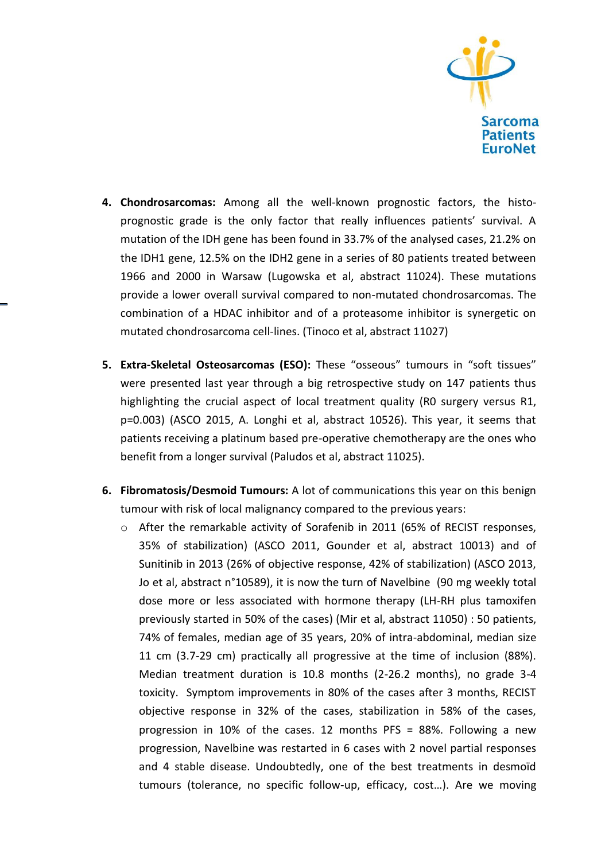

- **4. Chondrosarcomas:** Among all the well-known prognostic factors, the histoprognostic grade is the only factor that really influences patients' survival. A mutation of the IDH gene has been found in 33.7% of the analysed cases, 21.2% on the IDH1 gene, 12.5% on the IDH2 gene in a series of 80 patients treated between 1966 and 2000 in Warsaw (Lugowska et al, abstract 11024). These mutations provide a lower overall survival compared to non-mutated chondrosarcomas. The combination of a HDAC inhibitor and of a proteasome inhibitor is synergetic on mutated chondrosarcoma cell-lines. (Tinoco et al, abstract 11027)
- **5. Extra-Skeletal Osteosarcomas (ESO):** These "osseous" tumours in "soft tissues" were presented last year through a big retrospective study on 147 patients thus highlighting the crucial aspect of local treatment quality (R0 surgery versus R1, p=0.003) (ASCO 2015, A. Longhi et al, abstract 10526). This year, it seems that patients receiving a platinum based pre-operative chemotherapy are the ones who benefit from a longer survival (Paludos et al, abstract 11025).
- **6. Fibromatosis/Desmoid Tumours:** A lot of communications this year on this benign tumour with risk of local malignancy compared to the previous years:
	- o After the remarkable activity of Sorafenib in 2011 (65% of RECIST responses, 35% of stabilization) (ASCO 2011, Gounder et al, abstract 10013) and of Sunitinib in 2013 (26% of objective response, 42% of stabilization) (ASCO 2013, Jo et al, abstract n°10589), it is now the turn of Navelbine (90 mg weekly total dose more or less associated with hormone therapy (LH-RH plus tamoxifen previously started in 50% of the cases) (Mir et al, abstract 11050) : 50 patients, 74% of females, median age of 35 years, 20% of intra-abdominal, median size 11 cm (3.7-29 cm) practically all progressive at the time of inclusion (88%). Median treatment duration is 10.8 months (2-26.2 months), no grade 3-4 toxicity. Symptom improvements in 80% of the cases after 3 months, RECIST objective response in 32% of the cases, stabilization in 58% of the cases, progression in 10% of the cases. 12 months PFS = 88%. Following a new progression, Navelbine was restarted in 6 cases with 2 novel partial responses and 4 stable disease. Undoubtedly, one of the best treatments in desmoïd tumours (tolerance, no specific follow-up, efficacy, cost…). Are we moving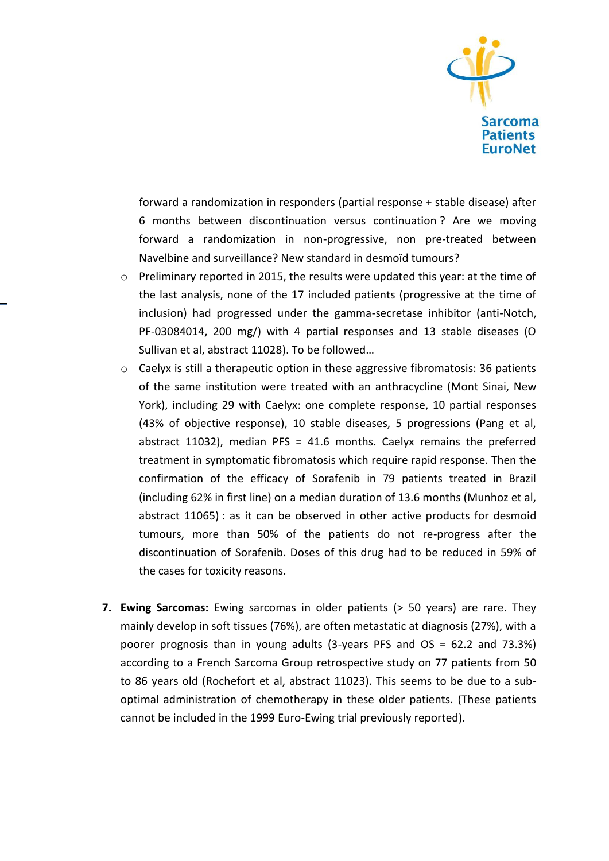

forward a randomization in responders (partial response + stable disease) after 6 months between discontinuation versus continuation ? Are we moving forward a randomization in non-progressive, non pre-treated between Navelbine and surveillance? New standard in desmoïd tumours?

- o Preliminary reported in 2015, the results were updated this year: at the time of the last analysis, none of the 17 included patients (progressive at the time of inclusion) had progressed under the gamma-secretase inhibitor (anti-Notch, PF-03084014, 200 mg/) with 4 partial responses and 13 stable diseases (O Sullivan et al, abstract 11028). To be followed…
- o Caelyx is still a therapeutic option in these aggressive fibromatosis: 36 patients of the same institution were treated with an anthracycline (Mont Sinai, New York), including 29 with Caelyx: one complete response, 10 partial responses (43% of objective response), 10 stable diseases, 5 progressions (Pang et al, abstract 11032), median PFS = 41.6 months. Caelyx remains the preferred treatment in symptomatic fibromatosis which require rapid response. Then the confirmation of the efficacy of Sorafenib in 79 patients treated in Brazil (including 62% in first line) on a median duration of 13.6 months (Munhoz et al, abstract 11065) : as it can be observed in other active products for desmoid tumours, more than 50% of the patients do not re-progress after the discontinuation of Sorafenib. Doses of this drug had to be reduced in 59% of the cases for toxicity reasons.
- **7. Ewing Sarcomas:** Ewing sarcomas in older patients (> 50 years) are rare. They mainly develop in soft tissues (76%), are often metastatic at diagnosis (27%), with a poorer prognosis than in young adults (3-years PFS and OS = 62.2 and 73.3%) according to a French Sarcoma Group retrospective study on 77 patients from 50 to 86 years old (Rochefort et al, abstract 11023). This seems to be due to a suboptimal administration of chemotherapy in these older patients. (These patients cannot be included in the 1999 Euro-Ewing trial previously reported).